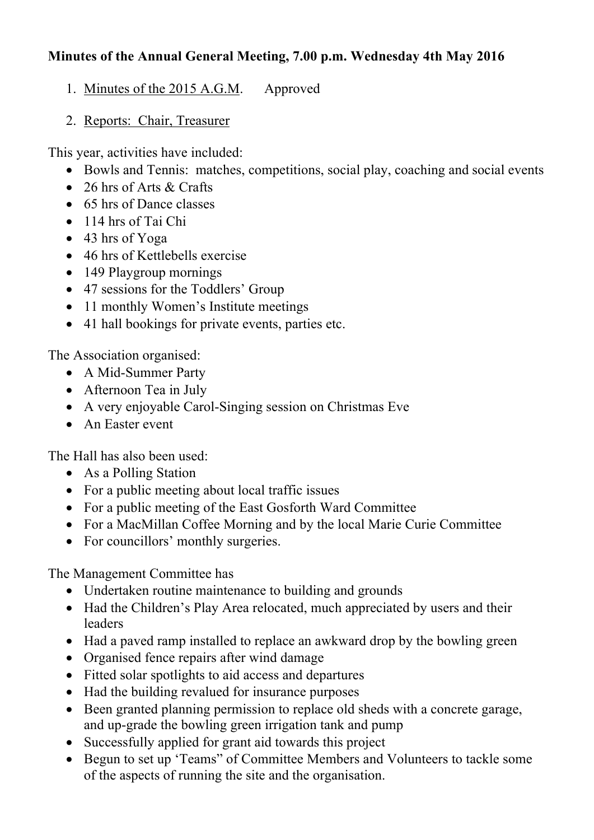## **Minutes of the Annual General Meeting, 7.00 p.m. Wednesday 4th May 2016**

- 1. Minutes of the 2015 A.G.M. Approved
- 2. Reports: Chair, Treasurer

This year, activities have included:

- Bowls and Tennis: matches, competitions, social play, coaching and social events
- 26 hrs of Arts & Crafts
- 65 hrs of Dance classes
- 114 hrs of Tai Chi
- 43 hrs of Yoga
- 46 hrs of Kettlebells exercise
- 149 Playgroup mornings
- 47 sessions for the Toddlers' Group
- 11 monthly Women's Institute meetings
- 41 hall bookings for private events, parties etc.

The Association organised:

- A Mid-Summer Party
- Afternoon Tea in July
- A very enjoyable Carol-Singing session on Christmas Eve
- An Easter event

The Hall has also been used:

- As a Polling Station
- For a public meeting about local traffic issues
- For a public meeting of the East Gosforth Ward Committee
- For a MacMillan Coffee Morning and by the local Marie Curie Committee
- For councillors' monthly surgeries.

The Management Committee has

- Undertaken routine maintenance to building and grounds
- Had the Children's Play Area relocated, much appreciated by users and their leaders
- Had a paved ramp installed to replace an awkward drop by the bowling green
- Organised fence repairs after wind damage
- Fitted solar spotlights to aid access and departures
- Had the building revalued for insurance purposes
- Been granted planning permission to replace old sheds with a concrete garage, and up-grade the bowling green irrigation tank and pump
- Successfully applied for grant aid towards this project
- Begun to set up 'Teams" of Committee Members and Volunteers to tackle some of the aspects of running the site and the organisation.